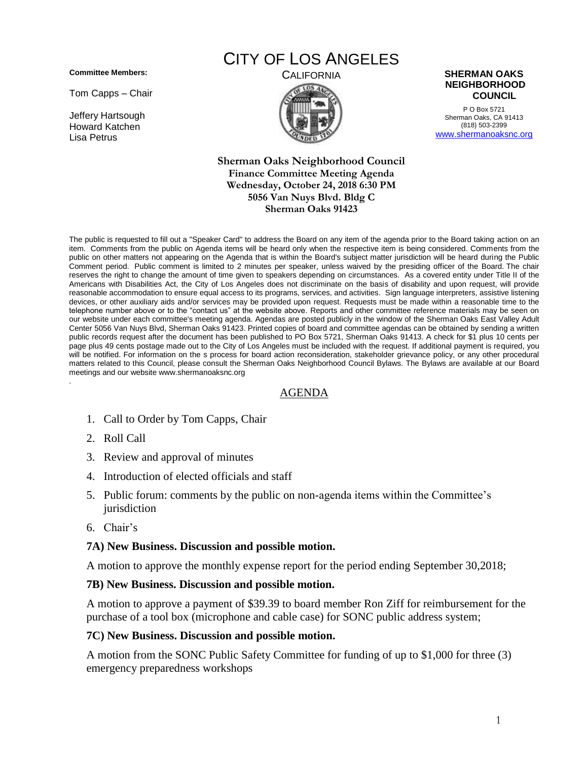**Committee Members:**

Tom Capps – Chair

Jeffery Hartsough Howard Katchen Lisa Petrus

# CITY OF LOS ANGELES



P O Box 5721 Sherman Oaks, CA 91413 (818) 503-2399 [www.shermanoaksnc.org](http://www.shermanoaksnc.org/)

**Sherman Oaks Neighborhood Council Finance Committee Meeting Agenda Wednesday, October 24, 2018 6:30 PM 5056 Van Nuys Blvd. Bldg C Sherman Oaks 91423**

The public is requested to fill out a "Speaker Card" to address the Board on any item of the agenda prior to the Board taking action on an item. Comments from the public on Agenda items will be heard only when the respective item is being considered. Comments from the public on other matters not appearing on the Agenda that is within the Board's subject matter jurisdiction will be heard during the Public Comment period. Public comment is limited to 2 minutes per speaker, unless waived by the presiding officer of the Board. The chair reserves the right to change the amount of time given to speakers depending on circumstances. As a covered entity under Title II of the Americans with Disabilities Act, the City of Los Angeles does not discriminate on the basis of disability and upon request, will provide reasonable accommodation to ensure equal access to its programs, services, and activities. Sign language interpreters, assistive listening devices, or other auxiliary aids and/or services may be provided upon request. Requests must be made within a reasonable time to the telephone number above or to the "contact us" at the website above. Reports and other committee reference materials may be seen on our website under each committee's meeting agenda. Agendas are posted publicly in the window of the Sherman Oaks East Valley Adult Center 5056 Van Nuys Blvd, Sherman Oaks 91423. Printed copies of board and committee agendas can be obtained by sending a written public records request after the document has been published to PO Box 5721, Sherman Oaks 91413. A check for \$1 plus 10 cents per page plus 49 cents postage made out to the City of Los Angeles must be included with the request. If additional payment is required, you will be notified. For information on the s process for board action reconsideration, stakeholder grievance policy, or any other procedural matters related to this Council, please consult the Sherman Oaks Neighborhood Council Bylaws. The Bylaws are available at our Board meetings and our website www.shermanoaksnc.org .

## AGENDA

- 1. Call to Order by Tom Capps, Chair
- 2. Roll Call
- 3. Review and approval of minutes
- 4. Introduction of elected officials and staff
- 5. Public forum: comments by the public on non-agenda items within the Committee's jurisdiction
- 6. Chair's

#### **7A) New Business. Discussion and possible motion.**

A motion to approve the monthly expense report for the period ending September 30,2018;

#### **7B) New Business. Discussion and possible motion.**

A motion to approve a payment of \$39.39 to board member Ron Ziff for reimbursement for the purchase of a tool box (microphone and cable case) for SONC public address system;

## **7C) New Business. Discussion and possible motion.**

A motion from the SONC Public Safety Committee for funding of up to \$1,000 for three (3) emergency preparedness workshops